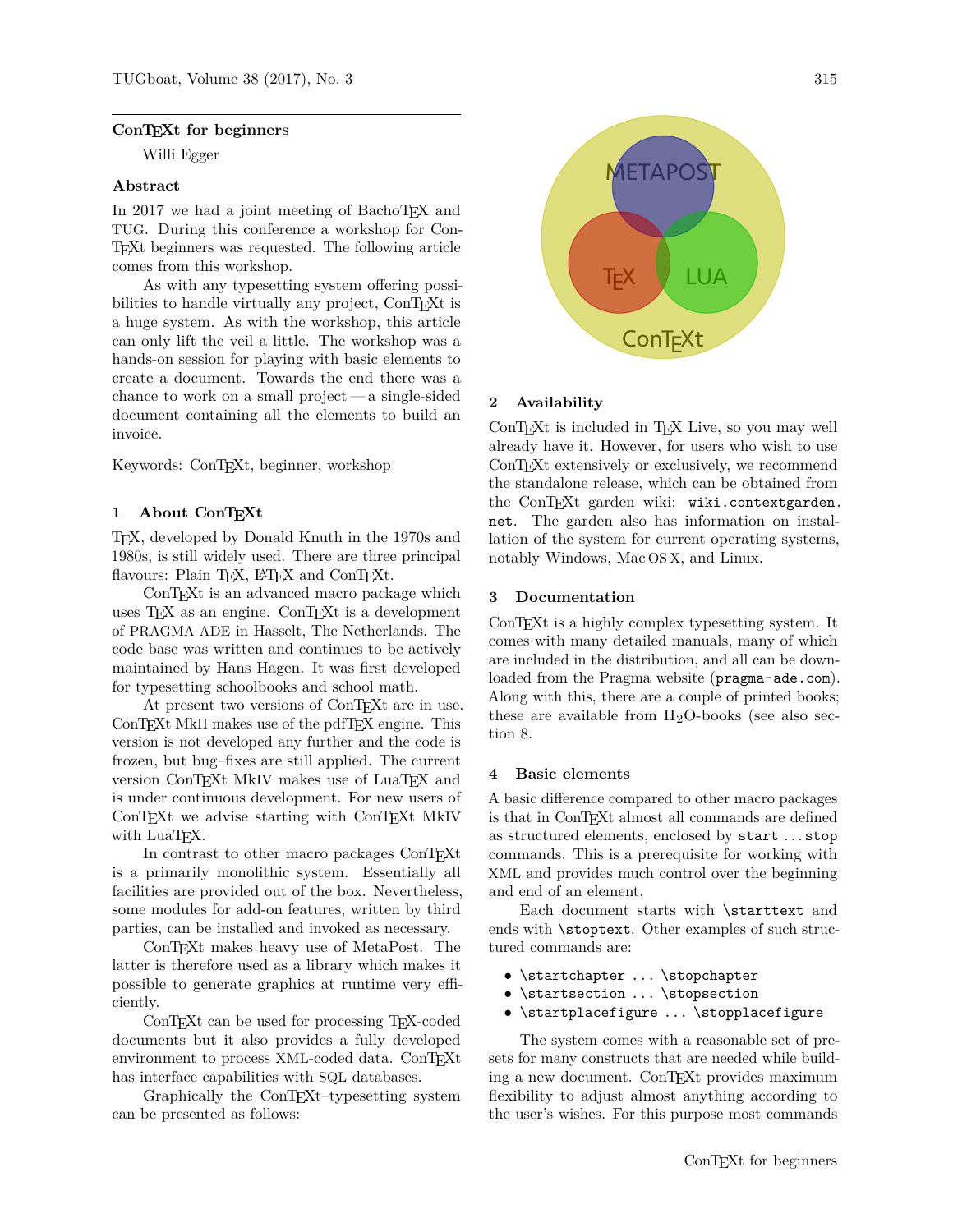### **ConTEXt for beginners**

Willi Egger

### **Abstract**

In 2017 we had a joint meeting of BachoTEX and TUG. During this conference a workshop for Con-TEXt beginners was requested. The following article comes from this workshop.

As with any typesetting system offering possibilities to handle virtually any project, ConTEXt is a huge system. As with the workshop, this article can only lift the veil a little. The workshop was a hands-on session for playing with basic elements to create a document. Towards the end there was a chance to work on a small project— a single-sided document containing all the elements to build an invoice.

Keywords: ConTEXt, beginner, workshop

### **1 About ConTEXt**

TEX, developed by Donald Knuth in the 1970s and 1980s, is still widely used. There are three principal flavours: Plain T<sub>E</sub>X, L<sup>AT</sup>E<sub>X</sub> and ConTE<sub>X</sub><sup>t</sup>.

ConTEXt is an advanced macro package which uses T<sub>F</sub>X as an engine. ConT<sub>E</sub>Xt is a development of PRAGMA ADE in Hasselt, The Netherlands. The code base was written and continues to be actively maintained by Hans Hagen. It was first developed for typesetting schoolbooks and school math.

At present two versions of ConT<sub>E</sub>Xt are in use. ConTEXt MkII makes use of the pdfTEX engine. This version is not developed any further and the code is frozen, but bug–fixes are still applied. The current version ConTEXt MkIV makes use of LuaTEX and is under continuous development. For new users of ConTEXt we advise starting with ConTEXt MkIV with LuaT<sub>F</sub>X.

In contrast to other macro packages ConTEXt is a primarily monolithic system. Essentially all facilities are provided out of the box. Nevertheless, some modules for add-on features, written by third parties, can be installed and invoked as necessary.

ConTEXt makes heavy use of MetaPost. The latter is therefore used as a library which makes it possible to generate graphics at runtime very efficiently.

ConTEXt can be used for processing TEX-coded documents but it also provides a fully developed environment to process XML-coded data. ConTEXt has interface capabilities with SQL databases.

Graphically the ConT<sub>EXt</sub>–typesetting system can be presented as follows:



# **2 Availability**

ConTEXt is included in TEX Live, so you may well already have it. However, for users who wish to use ConTEXt extensively or exclusively, we recommend the standalone release, which can be obtained from the ConTEXt garden wiki: wiki.contextgarden. net. The garden also has information on installation of the system for current operating systems, notably Windows, Mac OS X, and Linux.

### **3 Documentation**

ConTEXt is a highly complex typesetting system. It comes with many detailed manuals, many of which are included in the distribution, and all can be downloaded from the Pragma website (pragma-ade.com). Along with this, there are a couple of printed books; these are available from  $H_2O$ -books (see also section 8.

### **4 Basic elements**

A basic difference compared to other macro packages is that in ConTEXt almost all commands are defined as structured elements, enclosed by start . . . stop commands. This is a prerequisite for working with XML and provides much control over the beginning and end of an element.

Each document starts with \starttext and ends with \stoptext. Other examples of such structured commands are:

- \startchapter ... \stopchapter
- \startsection ... \stopsection
- \startplacefigure ... \stopplacefigure

The system comes with a reasonable set of presets for many constructs that are needed while building a new document. ConTEXt provides maximum flexibility to adjust almost anything according to the user's wishes. For this purpose most commands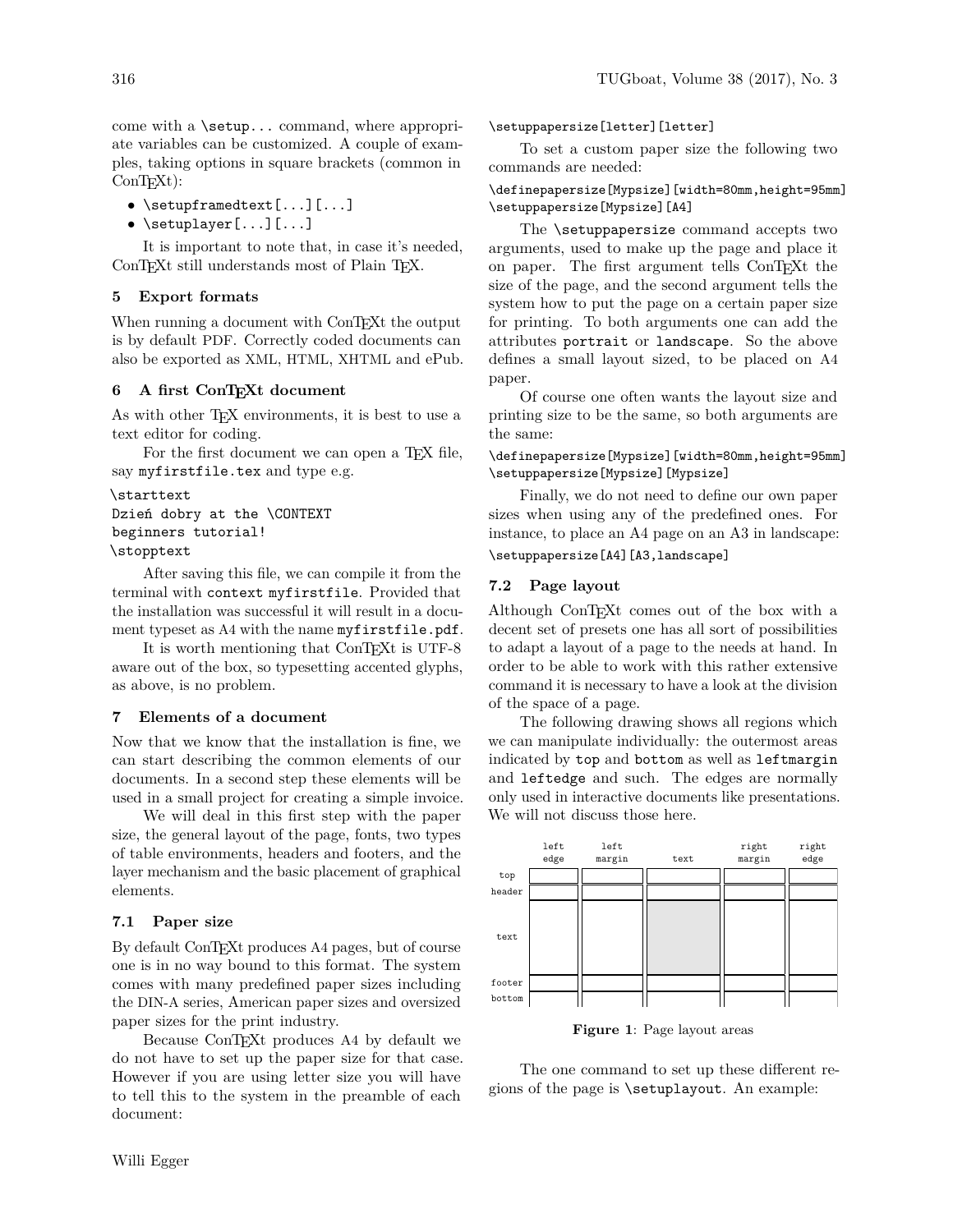come with a \setup... command, where appropriate variables can be customized. A couple of examples, taking options in square brackets (common in  $ConTrXt$ :

- \setupframedtext[...][...]
- \setuplayer[...][...]

It is important to note that, in case it's needed, ConTEXt still understands most of Plain TEX.

# **5 Export formats**

When running a document with ConT<sub>E</sub>Xt the output is by default PDF. Correctly coded documents can also be exported as XML, HTML, XHTML and ePub.

### **6 A first ConTEXt document**

As with other T<sub>F</sub>X environments, it is best to use a text editor for coding.

For the first document we can open a T<sub>E</sub>X file, say myfirstfile.tex and type e.g.

```
\starttext
Dzień dobry at the \CONTEXT
beginners tutorial!
\stopptext
```
After saving this file, we can compile it from the terminal with context myfirstfile. Provided that the installation was successful it will result in a document typeset as A4 with the name myfirstfile.pdf.

It is worth mentioning that ConT<sub>EXt</sub> is UTF-8 aware out of the box, so typesetting accented glyphs, as above, is no problem.

### **7 Elements of a document**

Now that we know that the installation is fine, we can start describing the common elements of our documents. In a second step these elements will be used in a small project for creating a simple invoice.

We will deal in this first step with the paper size, the general layout of the page, fonts, two types of table environments, headers and footers, and the layer mechanism and the basic placement of graphical elements.

# **7.1 Paper size**

By default ConTEXt produces A4 pages, but of course one is in no way bound to this format. The system comes with many predefined paper sizes including the DIN-A series, American paper sizes and oversized paper sizes for the print industry.

Because ConT<sub>EX</sub><sup>t</sup> produces A4 by default we do not have to set up the paper size for that case. However if you are using letter size you will have to tell this to the system in the preamble of each document:

\setuppapersize[letter][letter]

To set a custom paper size the following two commands are needed:

# \definepapersize[Mypsize][width=80mm,height=95mm] \setuppapersize[Mypsize][A4]

The \setuppapersize command accepts two arguments, used to make up the page and place it on paper. The first argument tells ConTEXt the size of the page, and the second argument tells the system how to put the page on a certain paper size for printing. To both arguments one can add the attributes portrait or landscape. So the above defines a small layout sized, to be placed on A4 paper.

Of course one often wants the layout size and printing size to be the same, so both arguments are the same:

# \definepapersize[Mypsize][width=80mm,height=95mm] \setuppapersize[Mypsize][Mypsize]

Finally, we do not need to define our own paper sizes when using any of the predefined ones. For instance, to place an A4 page on an A3 in landscape: \setuppapersize[A4][A3,landscape]

# **7.2 Page layout**

Although ConTEXt comes out of the box with a decent set of presets one has all sort of possibilities to adapt a layout of a page to the needs at hand. In order to be able to work with this rather extensive command it is necessary to have a look at the division of the space of a page.

The following drawing shows all regions which we can manipulate individually: the outermost areas indicated by top and bottom as well as leftmargin and leftedge and such. The edges are normally only used in interactive documents like presentations. We will not discuss those here.



**Figure 1**: Page layout areas

The one command to set up these different regions of the page is \setuplayout. An example: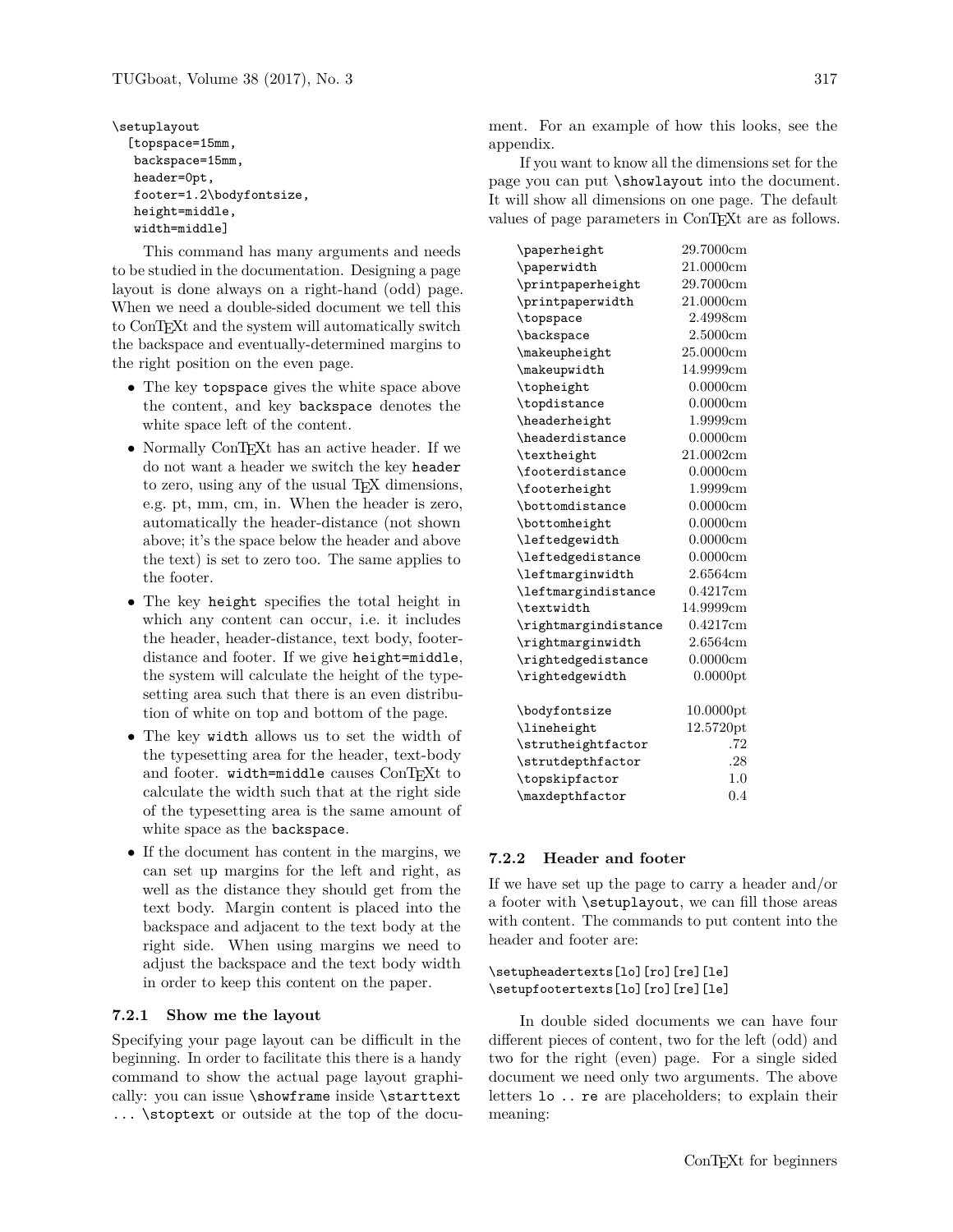\setuplayout [topspace=15mm, backspace=15mm, header=0pt, footer=1.2\bodyfontsize, height=middle, width=middle]

This command has many arguments and needs to be studied in the documentation. Designing a page layout is done always on a right-hand (odd) page. When we need a double-sided document we tell this to ConTEXt and the system will automatically switch the backspace and eventually-determined margins to the right position on the even page.

- The key topspace gives the white space above the content, and key backspace denotes the white space left of the content.
- Normally ConTEXt has an active header. If we do not want a header we switch the key header to zero, using any of the usual T<sub>EX</sub> dimensions, e.g. pt, mm, cm, in. When the header is zero, automatically the header-distance (not shown above; it's the space below the header and above the text) is set to zero too. The same applies to the footer.
- The key height specifies the total height in which any content can occur, i.e. it includes the header, header-distance, text body, footerdistance and footer. If we give height=middle, the system will calculate the height of the typesetting area such that there is an even distribution of white on top and bottom of the page.
- The key width allows us to set the width of the typesetting area for the header, text-body and footer. width=middle causes ConTFXt to calculate the width such that at the right side of the typesetting area is the same amount of white space as the backspace.
- If the document has content in the margins, we can set up margins for the left and right, as well as the distance they should get from the text body. Margin content is placed into the backspace and adjacent to the text body at the right side. When using margins we need to adjust the backspace and the text body width in order to keep this content on the paper.

# **7.2.1 Show me the layout**

Specifying your page layout can be difficult in the beginning. In order to facilitate this there is a handy command to show the actual page layout graphically: you can issue \showframe inside \starttext ... \stoptext or outside at the top of the document. For an example of how this looks, see the appendix.

If you want to know all the dimensions set for the page you can put \showlayout into the document. It will show all dimensions on one page. The default values of page parameters in ConTEXt are as follows.

| \paperheight                  | 29.7000cm |
|-------------------------------|-----------|
| \paperwidth                   | 21.0000cm |
| \printpaperheight             | 29.7000cm |
| \printpaperwidth              | 21.0000cm |
| \topspace                     | 2.4998cm  |
| \backspace                    | 2.5000cm  |
| \makeupheight                 | 25.0000cm |
| \makeupwidth                  | 14.9999cm |
| \topheight                    | 0.0000cm  |
| \topdistance                  | 0.0000cm  |
| \headerheight                 | 1.9999cm  |
| <i><b>\headerdistance</b></i> | 0.0000cm  |
| \textheight                   | 21.0002cm |
| \footerdistance               | 0.0000cm  |
| \footerheight                 | 1.9999cm  |
| <i><b>\bottomdistance</b></i> | 0.0000cm  |
| \bottomheight                 | 0.0000cm  |
| \leftedgewidth                | 0.0000cm  |
| \leftedgedistance             | 0.0000cm  |
| \leftmarginwidth              | 2.6564cm  |
| \leftmargindistance           | 0.4217cm  |
| \textwidth                    | 14.9999cm |
| \rightmargindistance          | 0.4217cm  |
| \rightmarginwidth             | 2.6564cm  |
| \rightedgedistance            | 0.0000cm  |
| \rightedgewidth               | 0.0000pt  |
| \bodyfontsize                 | 10.0000pt |
| \lineheight                   | 12.5720pt |
| \strutheightfactor            | .72       |
| \strutdepthfactor             | .28       |
| \topskipfactor                | 1.0       |
| \maxdepthfactor               | 0.4       |

## **7.2.2 Header and footer**

If we have set up the page to carry a header and/or a footer with \setuplayout, we can fill those areas with content. The commands to put content into the header and footer are:

\setupheadertexts[lo][ro][re][le] \setupfootertexts[lo][ro][re][le]

In double sided documents we can have four different pieces of content, two for the left (odd) and two for the right (even) page. For a single sided document we need only two arguments. The above letters lo .. re are placeholders; to explain their meaning: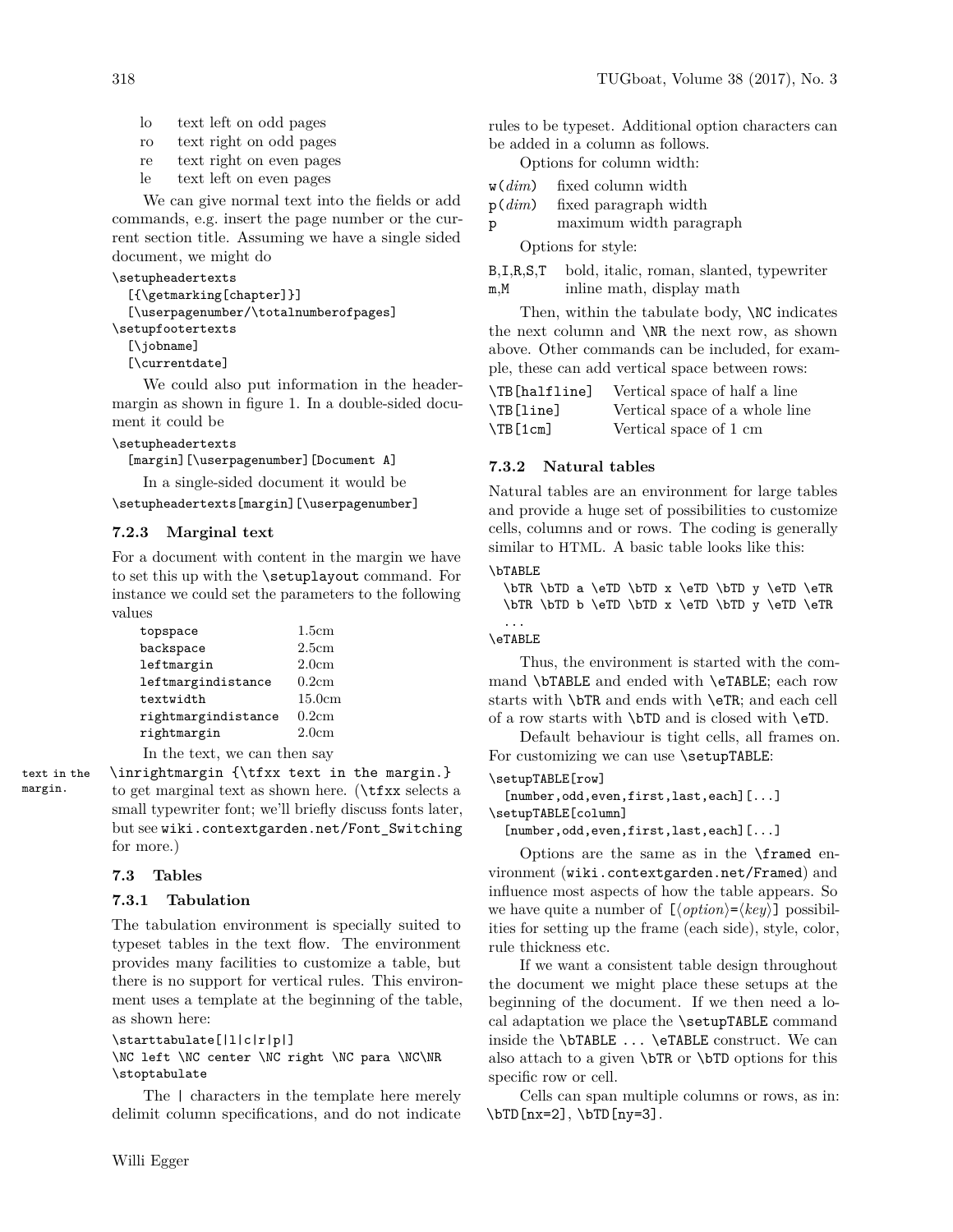- lo text left on odd pages
- ro text right on odd pages
- re text right on even pages
- le text left on even pages

We can give normal text into the fields or add commands, e.g. insert the page number or the current section title. Assuming we have a single sided document, we might do

### \setupheadertexts

```
[{\getmarking[chapter]}]
  [\userpagenumber/\totalnumberofpages]
\setupfootertexts
```
[\jobname]

[\currentdate]

We could also put information in the headermargin as shown in figure 1. In a double-sided document it could be

### \setupheadertexts

[margin][\userpagenumber][Document A]

In a single-sided document it would be \setupheadertexts[margin][\userpagenumber]

# **7.2.3 Marginal text**

For a document with content in the margin we have to set this up with the \setuplayout command. For instance we could set the parameters to the following values

| topspace                     | 1.5cm  |
|------------------------------|--------|
| backspace                    | 2.5cm  |
| leftmargin                   | 2.0cm  |
| leftmargindistance           | 0.2cm  |
| textwidth                    | 15.0cm |
| rightmargindistance          | 0.2cm  |
| rightmargin                  | 2.0cm  |
| In the text, we can then say |        |

text in the \inrightmargin {\tfxx text in the margin.} margin. to get marginal text as shown here. ( $\text{tr}x \text{ selects a}$ small typewriter font; we'll briefly discuss fonts later, but see wiki.contextgarden.net/Font\_Switching for more.)

# **7.3 Tables**

# **7.3.1 Tabulation**

The tabulation environment is specially suited to typeset tables in the text flow. The environment provides many facilities to customize a table, but there is no support for vertical rules. This environment uses a template at the beginning of the table, as shown here:

```
\starttabulate[|l|c|r|p|]
```
\NC left \NC center \NC right \NC para \NC\NR \stoptabulate

The | characters in the template here merely delimit column specifications, and do not indicate

rules to be typeset. Additional option characters can be added in a column as follows.

Options for column width:

- w(*dim*) fixed column width
- p(*dim*) fixed paragraph width

p maximum width paragraph

Options for style:

B,I,R,S,T bold, italic, roman, slanted, typewriter m,M inline math, display math

Then, within the tabulate body,  $\N$ C indicates the next column and \NR the next row, as shown above. Other commands can be included, for example, these can add vertical space between rows:

| \TB[halfline] | Vertical space of half a line  |
|---------------|--------------------------------|
| \TB[line]     | Vertical space of a whole line |
| \TB[1cm]      | Vertical space of 1 cm         |

# **7.3.2 Natural tables**

Natural tables are an environment for large tables and provide a huge set of possibilities to customize cells, columns and or rows. The coding is generally similar to HTML. A basic table looks like this:

### \bTABLE

\bTR \bTD a \eTD \bTD x \eTD \bTD y \eTD \eTR \bTR \bTD b \eTD \bTD x \eTD \bTD y \eTD \eTR

#### ... \eTABLE

Thus, the environment is started with the command \bTABLE and ended with \eTABLE; each row starts with \bTR and ends with \eTR; and each cell of a row starts with \bTD and is closed with \eTD.

Default behaviour is tight cells, all frames on. For customizing we can use **\setupTABLE**:

```
\setupTABLE[row]
```

```
[number,odd,even,first,last,each][...]
\setupTABLE[column]
  [number,odd,even,first,last,each][...]
```
Options are the same as in the \framed environment (wiki.contextgarden.net/Framed) and influence most aspects of how the table appears. So we have quite a number of  $\lfloor\langle option \rangle = \langle key \rangle$ ] possibilities for setting up the frame (each side), style, color, rule thickness etc.

If we want a consistent table design throughout the document we might place these setups at the beginning of the document. If we then need a local adaptation we place the \setupTABLE command inside the \bTABLE ... \eTABLE construct. We can also attach to a given \bTR or \bTD options for this specific row or cell.

Cells can span multiple columns or rows, as in:  $\bTD[nx=2], \bTD[ny=3].$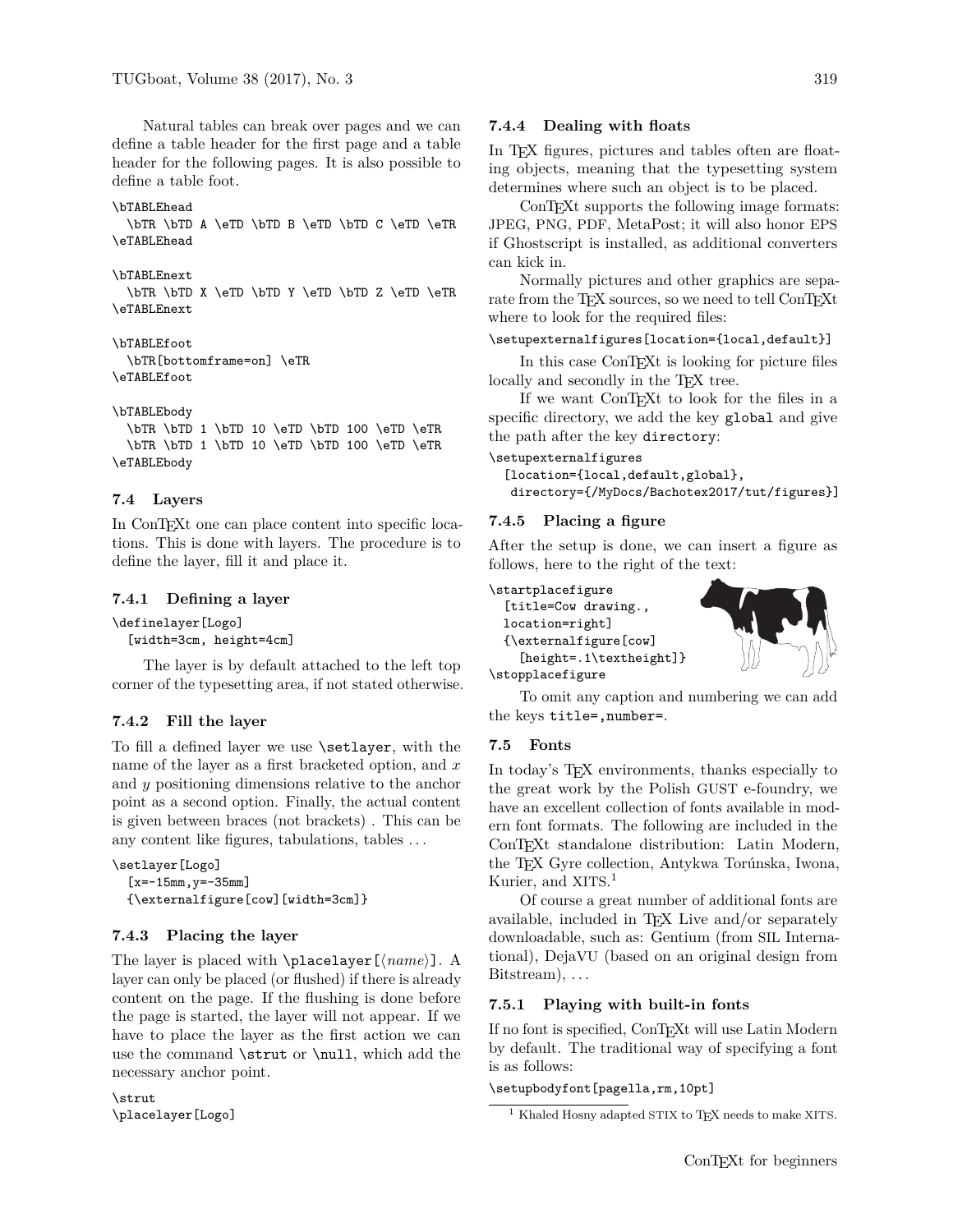Natural tables can break over pages and we can define a table header for the first page and a table header for the following pages. It is also possible to define a table foot.

```
\bTABLEhead
```
\bTR \bTD A \eTD \bTD B \eTD \bTD C \eTD \eTR \eTABLEhead

```
\bTABLEnext
```
\bTR \bTD X \eTD \bTD Y \eTD \bTD Z \eTD \eTR \eTABLEnext

```
\bTABLEfoot
  \bTR[bottomframe=on] \eTR
\eTABLEfoot
```

```
\bTABLEbody
```
\bTR \bTD 1 \bTD 10 \eTD \bTD 100 \eTD \eTR \bTR \bTD 1 \bTD 10 \eTD \bTD 100 \eTD \eTR \eTABLEbody

# **7.4 Layers**

In ConT<sub>E</sub>Xt one can place content into specific locations. This is done with layers. The procedure is to define the layer, fill it and place it.

# **7.4.1 Defining a layer**

\definelayer[Logo]

[width=3cm, height=4cm]

The layer is by default attached to the left top corner of the typesetting area, if not stated otherwise.

# **7.4.2 Fill the layer**

To fill a defined layer we use \setlayer, with the name of the layer as a first bracketed option, and *x* and *y* positioning dimensions relative to the anchor point as a second option. Finally, the actual content is given between braces (not brackets) . This can be any content like figures, tabulations, tables . . .

```
\setlayer[Logo]
  [x=-15mm, y=-35mm]
  {\externalfigure[cow][width=3cm]}
```
# **7.4.3 Placing the layer**

The layer is placed with  $\Delta$ **lacelayer**[ $\langle name \rangle$ ]. A layer can only be placed (or flushed) if there is already content on the page. If the flushing is done before the page is started, the layer will not appear. If we have to place the layer as the first action we can use the command \strut or \null, which add the necessary anchor point.

\strut \placelayer[Logo]

# **7.4.4 Dealing with floats**

In TEX figures, pictures and tables often are floating objects, meaning that the typesetting system determines where such an object is to be placed.

ConTEXt supports the following image formats: JPEG, PNG, PDF, MetaPost; it will also honor EPS if Ghostscript is installed, as additional converters can kick in.

Normally pictures and other graphics are separate from the TEX sources, so we need to tell ConTEXt where to look for the required files:

# \setupexternalfigures[location={local,default}]

In this case ConTEXt is looking for picture files locally and secondly in the T<sub>E</sub>X tree.

If we want ConTEXt to look for the files in a specific directory, we add the key global and give the path after the key directory:

### \setupexternalfigures

```
[location={local,default,global},
directory={/MyDocs/Bachotex2017/tut/figures}]
```
# **7.4.5 Placing a figure**

After the setup is done, we can insert a figure as follows, here to the right of the text:

\startplacefigure [title=Cow drawing., location=right] {\externalfigure[cow] [height=.1\textheight]} \stopplacefigure



To omit any caption and numbering we can add the keys title=,number=.

# **7.5 Fonts**

In today's T<sub>F</sub>X environments, thanks especially to the great work by the Polish GUST e-foundry, we have an excellent collection of fonts available in modern font formats. The following are included in the ConTEXt standalone distribution: Latin Modern, the TEX Gyre collection, Antykwa Torúnska, Iwona, Kurier, and XITS. 1

Of course a great number of additional fonts are available, included in TEX Live and/or separately downloadable, such as: Gentium (from SIL International), DejaVU (based on an original design from Bitstream), ...

# **7.5.1 Playing with built-in fonts**

If no font is specified, ConTEXt will use Latin Modern by default. The traditional way of specifying a font is as follows:

# \setupbodyfont[pagella,rm,10pt]

<sup>&</sup>lt;sup>1</sup> Khaled Hosny adapted STIX to T<sub>E</sub>X needs to make XITS.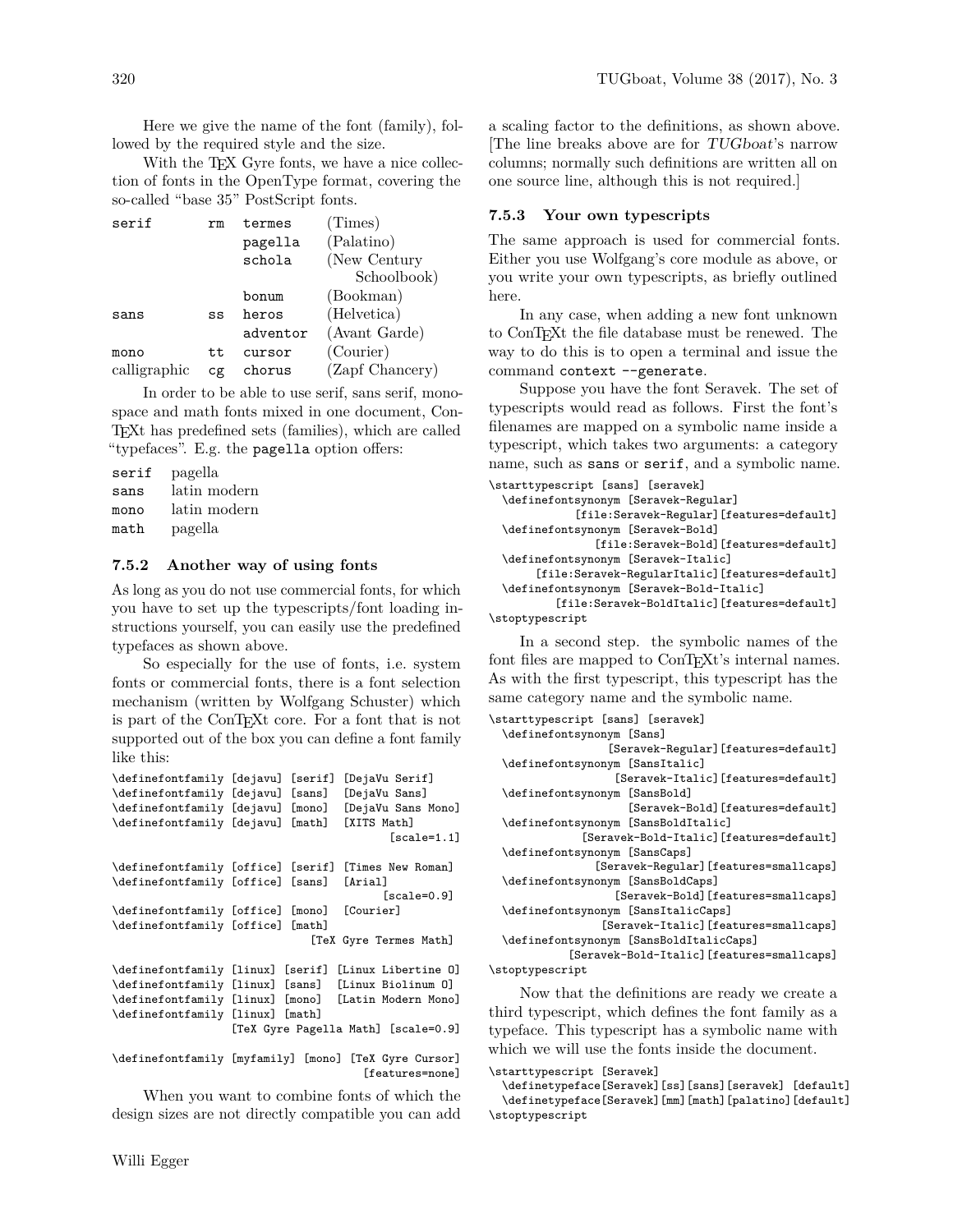Here we give the name of the font (family), followed by the required style and the size.

With the TEX Gyre fonts, we have a nice collection of fonts in the OpenType format, covering the so-called "base 35" PostScript fonts.

| rm | termes   | (Times)         |
|----|----------|-----------------|
|    | pagella  | (Palatino)      |
|    | schola   | (New Century    |
|    |          | Schoolbook)     |
|    | bonum    | (Bookman)       |
| SS | heros    | (Helvetica)     |
|    | adventor | (Avant Garde)   |
| tt | cursor   | (Courier)       |
| Cg | chorus   | (Zapf Chancery) |
|    |          |                 |

In order to be able to use serif, sans serif, monospace and math fonts mixed in one document, Con-TEXt has predefined sets (families), which are called "typefaces". E.g. the pagella option offers:

serif pagella sans latin modern mono latin modern math pagella

# **7.5.2 Another way of using fonts**

As long as you do not use commercial fonts, for which you have to set up the typescripts/font loading instructions yourself, you can easily use the predefined typefaces as shown above.

So especially for the use of fonts, i.e. system fonts or commercial fonts, there is a font selection mechanism (written by Wolfgang Schuster) which is part of the ConTEXt core. For a font that is not supported out of the box you can define a font family like this:

| \definefontfamily [dejavu] [serif]          |  | [DejaVu Serif]                                        |
|---------------------------------------------|--|-------------------------------------------------------|
| \definefontfamily [dejavu] [sans]           |  | [DejaVu Sans]                                         |
| \definefontfamily [dejavu] [mono]           |  | [DejaVu Sans Mono]                                    |
| \definefontfamily [dejavu] [math]           |  | [XITS Math]                                           |
|                                             |  | $[scale=1.1]$                                         |
|                                             |  | \definefontfamily [office] [serif] [Times New Roman]  |
| \definefontfamily [office] [sans] [Arial]   |  |                                                       |
|                                             |  | $scale=0.9$                                           |
| \definefontfamily [office] [mono] [Courier] |  |                                                       |
| \definefontfamily [office] [math]           |  |                                                       |
|                                             |  | [TeX Gyre Termes Math]                                |
|                                             |  | \definefontfamily [linux] [serif] [Linux Libertine 0] |
|                                             |  | \definefontfamily [linux] [sans] [Linux Biolinum 0]   |
|                                             |  | \definefontfamily [linux] [mono] [Latin Modern Mono]  |
| \definefontfamily [linux] [math]            |  |                                                       |
|                                             |  | [TeX Gyre Pagella Math] [scale=0.9]                   |

\definefontfamily [myfamily] [mono] [TeX Gyre Cursor] [features=none]

When you want to combine fonts of which the design sizes are not directly compatible you can add a scaling factor to the definitions, as shown above. [The line breaks above are for TUGboat's narrow columns; normally such definitions are written all on one source line, although this is not required.]

# **7.5.3 Your own typescripts**

The same approach is used for commercial fonts. Either you use Wolfgang's core module as above, or you write your own typescripts, as briefly outlined here.

In any case, when adding a new font unknown to ConTEXt the file database must be renewed. The way to do this is to open a terminal and issue the command context --generate.

Suppose you have the font Seravek. The set of typescripts would read as follows. First the font's filenames are mapped on a symbolic name inside a typescript, which takes two arguments: a category name, such as sans or serif, and a symbolic name. \starttypescript [sans] [seravek]

```
\definefontsynonym [Seravek-Regular]
           [file:Seravek-Regular][features=default]
\definefontsynonym [Seravek-Bold]
              [file:Seravek-Bold][features=default]
\definefontsynonym [Seravek-Italic]
     [file:Seravek-RegularItalic][features=default]
\definefontsynonym [Seravek-Bold-Italic]
        [file:Seravek-BoldItalic][features=default]
```
\stoptypescript

In a second step. the symbolic names of the font files are mapped to ConT<sub>E</sub>X<sup>t</sup>'s internal names. As with the first typescript, this typescript has the same category name and the symbolic name.

```
\starttypescript [sans] [seravek]
 \definefontsynonym [Sans]
                  [Seravek-Regular][features=default]
 \definefontsynonym [SansItalic]
                   [Seravek-Italic][features=default]
 \definefontsynonym [SansBold]
                     [Seravek-Bold][features=default]
 \definefontsynonym [SansBoldItalic]
              [Seravek-Bold-Italic][features=default]
 \definefontsynonym [SansCaps]
                [Seravek-Regular][features=smallcaps]
 \definefontsynonym [SansBoldCaps]
                   [Seravek-Bold][features=smallcaps]
 \definefontsynonym [SansItalicCaps]
                 [Seravek-Italic][features=smallcaps]
 \definefontsynonym [SansBoldItalicCaps]
            [Seravek-Bold-Italic][features=smallcaps]
\stoptypescript
    Now that the definitions are ready we create a
```
third typescript, which defines the font family as a typeface. This typescript has a symbolic name with which we will use the fonts inside the document.

### \starttypescript [Seravek]

\definetypeface[Seravek][ss][sans][seravek] [default] \definetypeface[Seravek][mm][math][palatino][default] \stoptypescript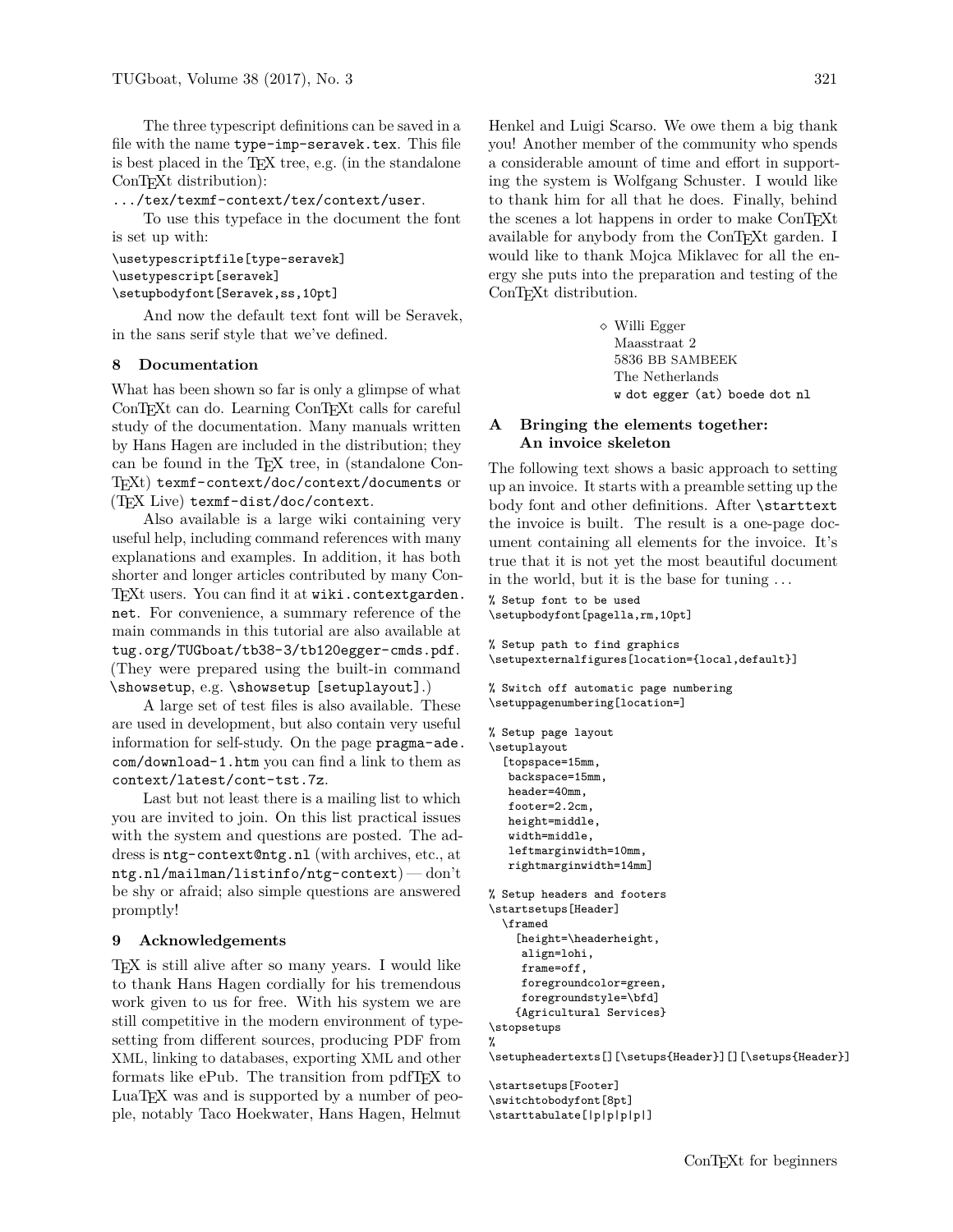The three typescript definitions can be saved in a file with the name type-imp-seravek.tex. This file is best placed in the TEX tree, e.g. (in the standalone ConT<sub>EXt</sub> distribution):

.../tex/texmf-context/tex/context/user.

To use this typeface in the document the font is set up with:

### \usetypescriptfile[type-seravek] \usetypescript[seravek] \setupbodyfont[Seravek,ss,10pt]

And now the default text font will be Seravek, in the sans serif style that we've defined.

### **8 Documentation**

What has been shown so far is only a glimpse of what ConTEXt can do. Learning ConTEXt calls for careful study of the documentation. Many manuals written by Hans Hagen are included in the distribution; they can be found in the TEX tree, in (standalone Con-TEXt) texmf-context/doc/context/documents or (TEX Live) texmf-dist/doc/context.

Also available is a large wiki containing very useful help, including command references with many explanations and examples. In addition, it has both shorter and longer articles contributed by many Con-T<sub>EXt</sub> users. You can find it at wiki.contextgarden. net. For convenience, a summary reference of the main commands in this tutorial are also available at tug.org/TUGboat/tb38-3/tb120egger-cmds.pdf. (They were prepared using the built-in command \showsetup, e.g. \showsetup [setuplayout].)

A large set of test files is also available. These are used in development, but also contain very useful information for self-study. On the page pragma-ade. com/download-1.htm you can find a link to them as context/latest/cont-tst.7z.

Last but not least there is a mailing list to which you are invited to join. On this list practical issues with the system and questions are posted. The address is ntg-context@ntg.nl (with archives, etc., at ntg.nl/mailman/listinfo/ntg-context) — don't be shy or afraid; also simple questions are answered promptly!

# **9 Acknowledgements**

TEX is still alive after so many years. I would like to thank Hans Hagen cordially for his tremendous work given to us for free. With his system we are still competitive in the modern environment of typesetting from different sources, producing PDF from XML, linking to databases, exporting XML and other formats like ePub. The transition from pdfTEX to LuaT<sub>EX</sub> was and is supported by a number of people, notably Taco Hoekwater, Hans Hagen, Helmut

Henkel and Luigi Scarso. We owe them a big thank you! Another member of the community who spends a considerable amount of time and effort in supporting the system is Wolfgang Schuster. I would like to thank him for all that he does. Finally, behind the scenes a lot happens in order to make ConTEXt available for anybody from the ConT<sub>E</sub>Xt garden. I would like to thank Mojca Miklavec for all the energy she puts into the preparation and testing of the

> Willi Egger Maasstraat 2 5836 BB SAMBEEK The Netherlands w dot egger (at) boede dot nl

# **A Bringing the elements together: An invoice skeleton**

The following text shows a basic approach to setting up an invoice. It starts with a preamble setting up the body font and other definitions. After \starttext the invoice is built. The result is a one-page document containing all elements for the invoice. It's true that it is not yet the most beautiful document in the world, but it is the base for tuning . . .

% Setup font to be used \setupbodyfont[pagella,rm,10pt]

ConT<sub>EXt</sub> distribution.

```
% Setup path to find graphics
\setupexternalfigures[location={local,default}]
```

```
% Switch off automatic page numbering
\setuppagenumbering[location=]
```

```
% Setup page layout
```
\setuplayout [topspace=15mm, backspace=15mm, header=40mm, footer=2.2cm, height=middle, width=middle, leftmarginwidth=10mm, rightmarginwidth=14mm]

```
% Setup headers and footers
```
\startsetups[Header] \framed

```
[height=\headerheight,
align=lohi,
frame=off,
foregroundcolor=green,
foregroundstyle=\bfd]
{Agricultural Services}
```
\stopsetups %

\setupheadertexts[][\setups{Header}][][\setups{Header}]

```
\startsetups[Footer]
\switchtobodyfont[8pt]
\starttabulate[|p|p|p|p|]
```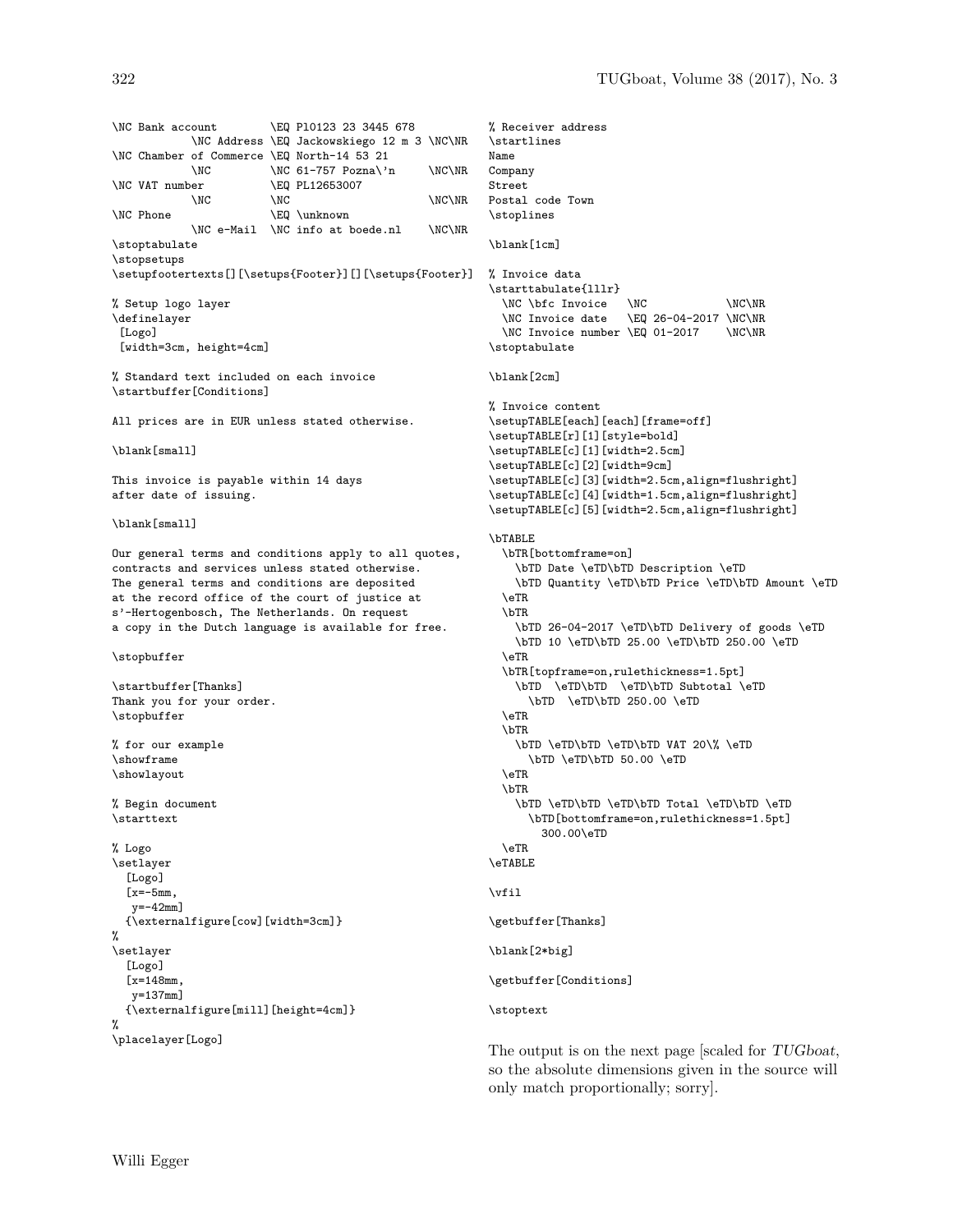\NC Bank account \EQ Pl0123 23 3445 678 \NC Address \EQ Jackowskiego 12 m 3 \NC\NR \NC Chamber of Commerce \EQ North-14 53 21 \NC  $\N$ C 61-757 Pozna\'n  $\N$ C\NR \NC VAT number \EQ PL12653007  $\N$ C  $\N$ C  $\N$ C \NC Phone \EQ \unknown \NC e-Mail \NC info at boede.nl \NC\NR \stoptabulate \stopsetups \setupfootertexts[][\setups{Footer}][][\setups{Footer}] % Setup logo layer \definelayer [Logo] [width=3cm, height=4cm] % Standard text included on each invoice \startbuffer[Conditions] All prices are in EUR unless stated otherwise. \blank[small] This invoice is payable within 14 days after date of issuing. \blank[small] Our general terms and conditions apply to all quotes, contracts and services unless stated otherwise. The general terms and conditions are deposited at the record office of the court of justice at s'-Hertogenbosch, The Netherlands. On request a copy in the Dutch language is available for free. \stopbuffer \startbuffer[Thanks] Thank you for your order. \stopbuffer % for our example \showframe \showlayout % Begin document \starttext % Logo \setlayer [Logo]  $[x=-5mm,$  $y=-42$ mm] {\externalfigure[cow][width=3cm]} % \setlayer [Logo]  $[x=148$ mm y=137mm] {\externalfigure[mill][height=4cm]}  $\gamma$ \placelayer[Logo]

```
% Receiver address
\startlines
Name
Company
Street
Postal code Town
\stoplines
\blank[1cm]
% Invoice data
\starttabulate{lllr}
  \NC \bfc Invoice \NC \\C\NR<br>\NC Invoice date \EQ 26-04-2017 \NC\NR
                      \E{Q} 26-04-2017 \NC\NR
  \NC Invoice number \EQ 01-2017 \NC\NR
\stoptabulate
\blank[2cm]
% Invoice content
\setupTABLE[each][each][frame=off]
\setupTABLE[r][1][style=bold]
\setupTABLE[c][1][width=2.5cm]
\setupTABLE[c][2][width=9cm]
\setupTABLE[c][3][width=2.5cm,align=flushright]
\setupTABLE[c][4][width=1.5cm,align=flushright]
\setupTABLE[c][5][width=2.5cm,align=flushright]
\bTABLE
  \bTR[bottomframe=on]
    \bTD Date \eTD\bTD Description \eTD
    \bTD Quantity \eTD\bTD Price \eTD\bTD Amount \eTD
  \eTR
  \bTR
    \bTD 26-04-2017 \eTD\bTD Delivery of goods \eTD
    \bTD 10 \eTD\bTD 25.00 \eTD\bTD 250.00 \eTD
  \eTR
  \bTR[topframe=on,rulethickness=1.5pt]
    \bTD \eTD\bTD \eTD\bTD Subtotal \eTD
      \bTD \eTD\bTD 250.00 \eTD
  \eTR
  \bTR
    \bTD \eTD\bTD \eTD\bTD VAT 20\% \eTD
      \bTD \eTD\bTD 50.00 \eTD
  \eTR
  \bTR
    \bTD \eTD\bTD \eTD\bTD Total \eTD\bTD \eTD
      \bTD[bottomframe=on,rulethickness=1.5pt]
        300.00\eTD
  \GammaATR
\eTABLE
\vfil
\getbuffer[Thanks]
\blank[2*big]
\getbuffer[Conditions]
\stoptext
```
The output is on the next page [scaled for TUGboat, so the absolute dimensions given in the source will only match proportionally; sorry].